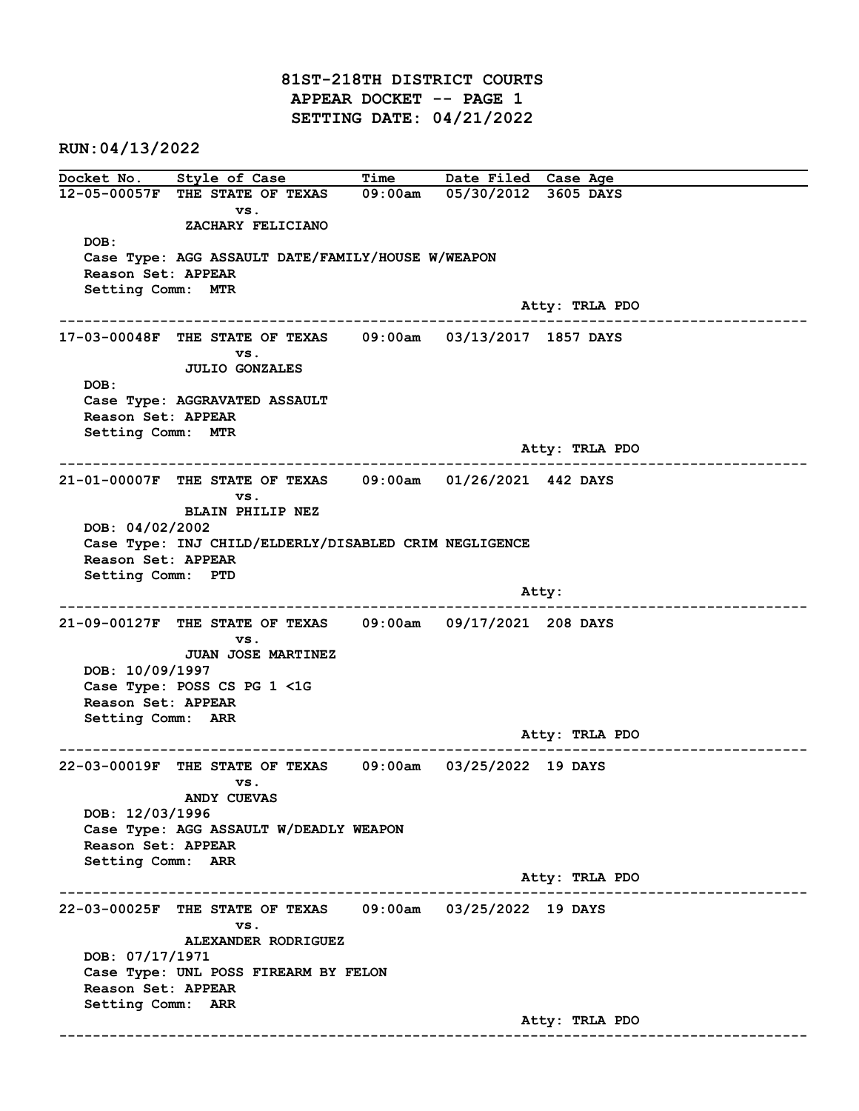81ST-218TH DISTRICT COURTS APPEAR DOCKET -- PAGE 1 SETTING DATE: 04/21/2022

RUN:04/13/2022

Docket No. Style of Case Time Date Filed Case Age 12-05-00057F THE STATE OF TEXAS 09:00am 05/30/2012 3605 DAYS vs. ZACHARY FELICIANO DOB: Case Type: AGG ASSAULT DATE/FAMILY/HOUSE W/WEAPON Reason Set: APPEAR Setting Comm: MTR Atty: TRLA PDO ------------------------------------------------------------------------------------------------------------------------ 17-03-00048F THE STATE OF TEXAS 09:00am 03/13/2017 1857 DAYS vs. JULIO GONZALES DOB: Case Type: AGGRAVATED ASSAULT Reason Set: APPEAR Setting Comm: MTR Atty: TRLA PDO ------------------------------------------------------------------------------------------------------------------------ 21-01-00007F THE STATE OF TEXAS 09:00am 01/26/2021 442 DAYS vs. BLAIN PHILIP NEZ DOB: 04/02/2002 Case Type: INJ CHILD/ELDERLY/DISABLED CRIM NEGLIGENCE Reason Set: APPEAR Setting Comm: PTD and the control of the control of the control of the control of the control of the control of the control of the control of the control of the control of the control of the control of the control of the control of the cont ------------------------------------------------------------------------------------------------------------------------ 21-09-00127F THE STATE OF TEXAS 09:00am 09/17/2021 208 DAYS vs. JUAN JOSE MARTINEZ DOB: 10/09/1997 Case Type: POSS CS PG 1 <1G Reason Set: APPEAR Setting Comm: ARR Atty: TRLA PDO ------------------------------------------------------------------------------------------------------------------------ 22-03-00019F THE STATE OF TEXAS 09:00am 03/25/2022 19 DAYS vs. ANDY CUEVAS DOB: 12/03/1996 Case Type: AGG ASSAULT W/DEADLY WEAPON Reason Set: APPEAR Setting Comm: ARR Atty: TRLA PDO ------------------------------------------------------------------------------------------------------------------------ 22-03-00025F THE STATE OF TEXAS 09:00am 03/25/2022 19 DAYS vs. ALEXANDER RODRIGUEZ DOB: 07/17/1971 Case Type: UNL POSS FIREARM BY FELON Reason Set: APPEAR Setting Comm: ARR Atty: TRLA PDO ------------------------------------------------------------------------------------------------------------------------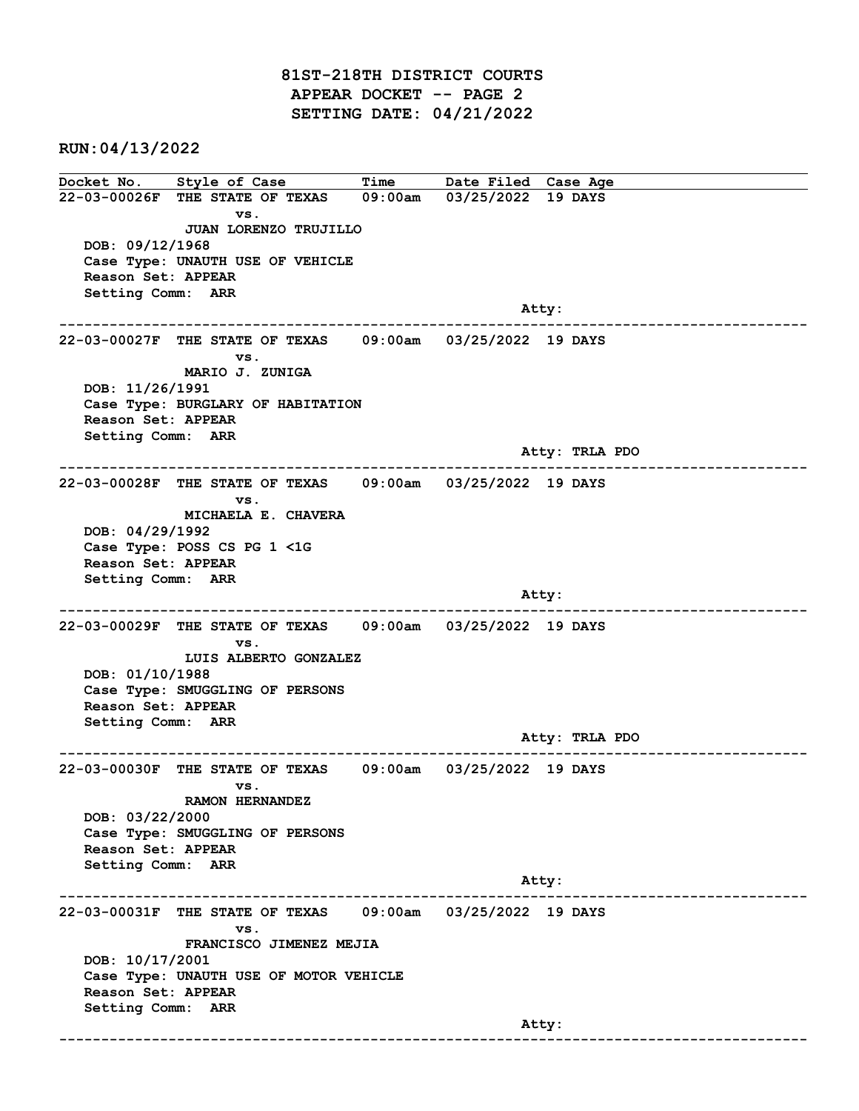81ST-218TH DISTRICT COURTS APPEAR DOCKET -- PAGE 2 SETTING DATE: 04/21/2022

RUN:04/13/2022

Docket No. Style of Case Time Date Filed Case Age 22-03-00026F THE STATE OF TEXAS 09:00am 03/25/2022 19 DAYS vs. JUAN LORENZO TRUJILLO DOB: 09/12/1968 Case Type: UNAUTH USE OF VEHICLE Reason Set: APPEAR Setting Comm: ARR and the control of the control of the control of the control of the control of the control of the control of the control of the control of the control of the control of the control of the control of the control of the cont ------------------------------------------------------------------------------------------------------------------------ 22-03-00027F THE STATE OF TEXAS 09:00am 03/25/2022 19 DAYS vs. MARIO J. ZUNIGA DOB: 11/26/1991 Case Type: BURGLARY OF HABITATION Reason Set: APPEAR Setting Comm: ARR Atty: TRLA PDO ------------------------------------------------------------------------------------------------------------------------ 22-03-00028F THE STATE OF TEXAS 09:00am 03/25/2022 19 DAYS vs. MICHAELA E. CHAVERA DOB: 04/29/1992 Case Type: POSS CS PG 1 <1G Reason Set: APPEAR Setting Comm: ARR and the control of the control of the control of the control of the control of the control of the control of the control of the control of the control of the control of the control of the control of the control of the cont ------------------------------------------------------------------------------------------------------------------------ 22-03-00029F THE STATE OF TEXAS 09:00am 03/25/2022 19 DAYS vs. LUIS ALBERTO GONZALEZ DOB: 01/10/1988 Case Type: SMUGGLING OF PERSONS Reason Set: APPEAR Setting Comm: ARR Atty: TRLA PDO ------------------------------------------------------------------------------------------------------------------------ 22-03-00030F THE STATE OF TEXAS 09:00am 03/25/2022 19 DAYS vs. RAMON HERNANDEZ DOB: 03/22/2000 Case Type: SMUGGLING OF PERSONS Reason Set: APPEAR Setting Comm: ARR Atty: ------------------------------------------------------------------------------------------------------------------------ 22-03-00031F THE STATE OF TEXAS 09:00am 03/25/2022 19 DAYS vs. FRANCISCO JIMENEZ MEJIA DOB: 10/17/2001 Case Type: UNAUTH USE OF MOTOR VEHICLE Reason Set: APPEAR Setting Comm: ARR and the control of the control of the control of the control of the control of the control of the control of the control of the control of the control of the control of the control of the control of the control of the cont ------------------------------------------------------------------------------------------------------------------------